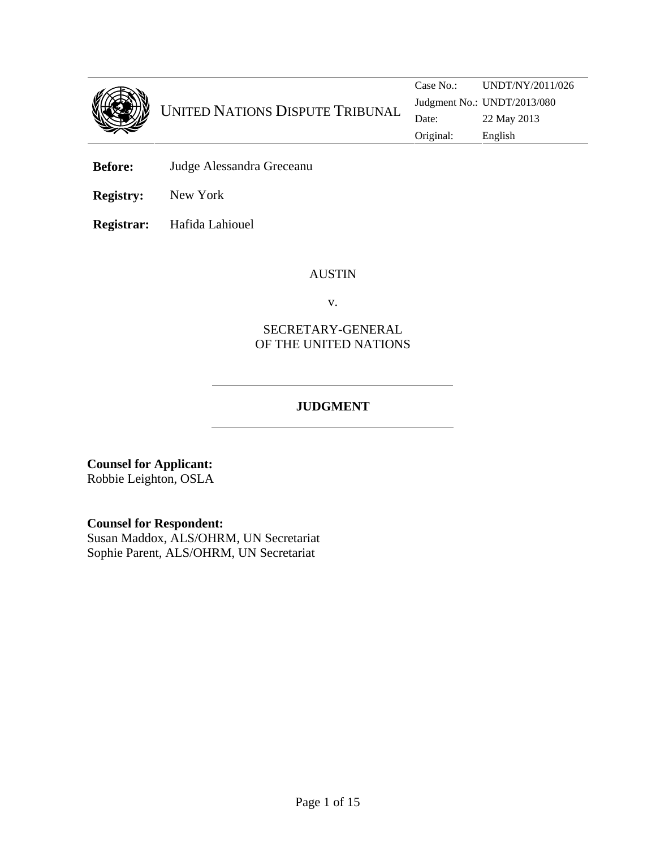

**Before:** Judge Alessandra Greceanu

**Registry:** New York

**Registrar:** Hafida Lahiouel

#### AUSTIN

v.

## SECRETARY-GENERAL OF THE UNITED NATIONS

# **JUDGMENT**

**Counsel for Applicant:**  Robbie Leighton, OSLA

**Counsel for Respondent:** 

Susan Maddox, ALS/OHRM, UN Secretariat Sophie Parent, ALS/OHRM, UN Secretariat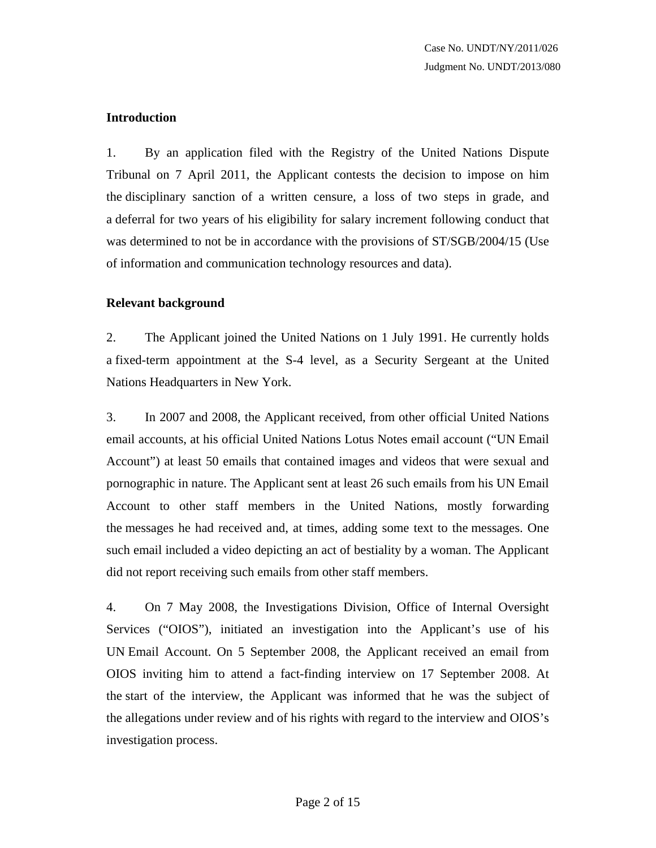#### **Introduction**

1. By an application filed with the Registry of the United Nations Dispute Tribunal on 7 April 2011, the Applicant contests the decision to impose on him the disciplinary sanction of a written censure, a loss of two steps in grade, and a deferral for two years of his eligibility for salary increment following conduct that was determined to not be in accordance with the provisions of ST/SGB/2004/15 (Use of information and communication technology resources and data).

#### **Relevant background**

2. The Applicant joined the United Nations on 1 July 1991. He currently holds a fixed-term appointment at the S-4 level, as a Security Sergeant at the United Nations Headquarters in New York.

3. In 2007 and 2008, the Applicant received, from other official United Nations email accounts, at his official United Nations Lotus Notes email account ("UN Email Account") at least 50 emails that contained images and videos that were sexual and pornographic in nature. The Applicant sent at least 26 such emails from his UN Email Account to other staff members in the United Nations, mostly forwarding the messages he had received and, at times, adding some text to the messages. One such email included a video depicting an act of bestiality by a woman. The Applicant did not report receiving such emails from other staff members.

4. On 7 May 2008, the Investigations Division, Office of Internal Oversight Services ("OIOS"), initiated an investigation into the Applicant's use of his UN Email Account. On 5 September 2008, the Applicant received an email from OIOS inviting him to attend a fact-finding interview on 17 September 2008. At the start of the interview, the Applicant was informed that he was the subject of the allegations under review and of his rights with regard to the interview and OIOS's investigation process.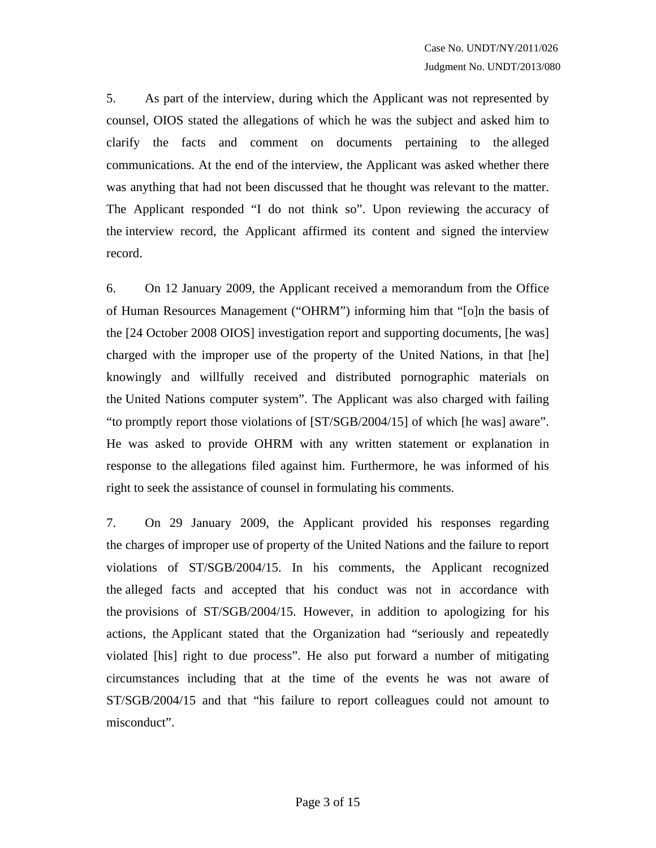5. As part of the interview, during which the Applicant was not represented by counsel, OIOS stated the allegations of which he was the subject and asked him to clarify the facts and comment on documents pertaining to the alleged communications. At the end of the interview, the Applicant was asked whether there was anything that had not been discussed that he thought was relevant to the matter. The Applicant responded "I do not think so". Upon reviewing the accuracy of the interview record, the Applicant affirmed its content and signed the interview record.

6. On 12 January 2009, the Applicant received a memorandum from the Office of Human Resources Management ("OHRM") informing him that "[o]n the basis of the [24 October 2008 OIOS] investigation report and supporting documents, [he was] charged with the improper use of the property of the United Nations, in that [he] knowingly and willfully received and distributed pornographic materials on the United Nations computer system". The Applicant was also charged with failing "to promptly report those violations of [ST/SGB/2004/15] of which [he was] aware". He was asked to provide OHRM with any written statement or explanation in response to the allegations filed against him. Furthermore, he was informed of his right to seek the assistance of counsel in formulating his comments.

7. On 29 January 2009, the Applicant provided his responses regarding the charges of improper use of property of the United Nations and the failure to report violations of ST/SGB/2004/15. In his comments, the Applicant recognized the alleged facts and accepted that his conduct was not in accordance with the provisions of ST/SGB/2004/15. However, in addition to apologizing for his actions, the Applicant stated that the Organization had "seriously and repeatedly violated [his] right to due process". He also put forward a number of mitigating circumstances including that at the time of the events he was not aware of ST/SGB/2004/15 and that "his failure to report colleagues could not amount to misconduct".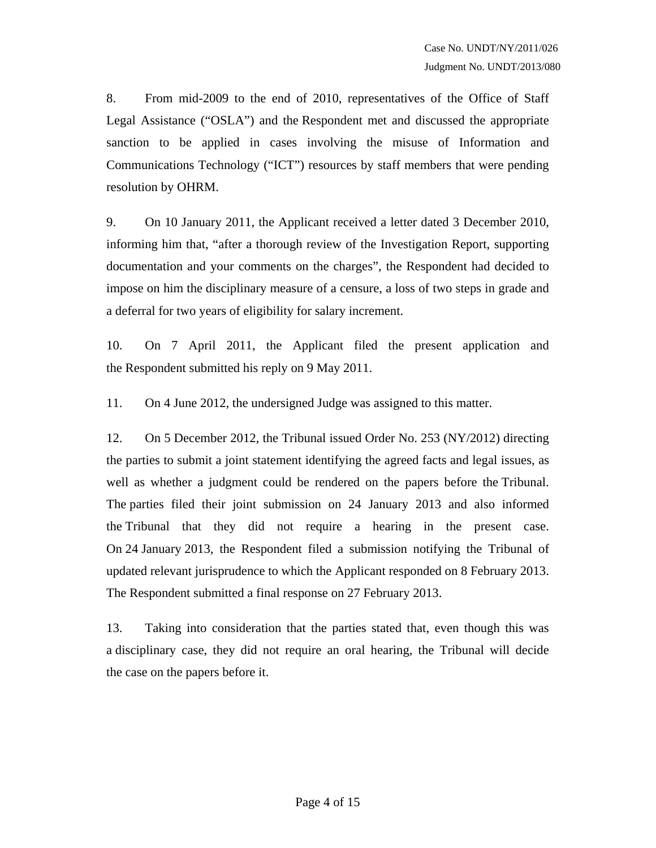8. From mid-2009 to the end of 2010, representatives of the Office of Staff Legal Assistance ("OSLA") and the Respondent met and discussed the appropriate sanction to be applied in cases involving the misuse of Information and Communications Technology ("ICT") resources by staff members that were pending resolution by OHRM.

9. On 10 January 2011, the Applicant received a letter dated 3 December 2010, informing him that, "after a thorough review of the Investigation Report, supporting documentation and your comments on the charges", the Respondent had decided to impose on him the disciplinary measure of a censure, a loss of two steps in grade and a deferral for two years of eligibility for salary increment.

10. On 7 April 2011, the Applicant filed the present application and the Respondent submitted his reply on 9 May 2011.

11. On 4 June 2012, the undersigned Judge was assigned to this matter.

12. On 5 December 2012, the Tribunal issued Order No. 253 (NY/2012) directing the parties to submit a joint statement identifying the agreed facts and legal issues, as well as whether a judgment could be rendered on the papers before the Tribunal. The parties filed their joint submission on 24 January 2013 and also informed the Tribunal that they did not require a hearing in the present case. On 24 January 2013, the Respondent filed a submission notifying the Tribunal of updated relevant jurisprudence to which the Applicant responded on 8 February 2013. The Respondent submitted a final response on 27 February 2013.

13. Taking into consideration that the parties stated that, even though this was a disciplinary case, they did not require an oral hearing, the Tribunal will decide the case on the papers before it.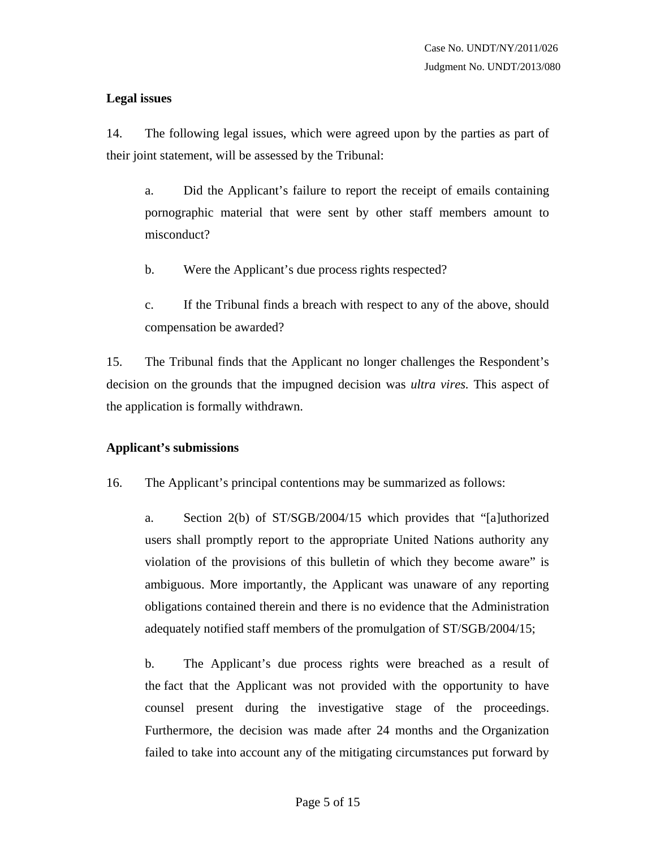## **Legal issues**

14. The following legal issues, which were agreed upon by the parties as part of their joint statement, will be assessed by the Tribunal:

a. Did the Applicant's failure to report the receipt of emails containing pornographic material that were sent by other staff members amount to misconduct?

- b. Were the Applicant's due process rights respected?
- c. If the Tribunal finds a breach with respect to any of the above, should compensation be awarded?

15. The Tribunal finds that the Applicant no longer challenges the Respondent's decision on the grounds that the impugned decision was *ultra vires.* This aspect of the application is formally withdrawn.

## **Applicant's submissions**

16. The Applicant's principal contentions may be summarized as follows:

a. Section 2(b) of ST/SGB/2004/15 which provides that "[a]uthorized users shall promptly report to the appropriate United Nations authority any violation of the provisions of this bulletin of which they become aware" is ambiguous. More importantly, the Applicant was unaware of any reporting obligations contained therein and there is no evidence that the Administration adequately notified staff members of the promulgation of ST/SGB/2004/15;

b. The Applicant's due process rights were breached as a result of the fact that the Applicant was not provided with the opportunity to have counsel present during the investigative stage of the proceedings. Furthermore, the decision was made after 24 months and the Organization failed to take into account any of the mitigating circumstances put forward by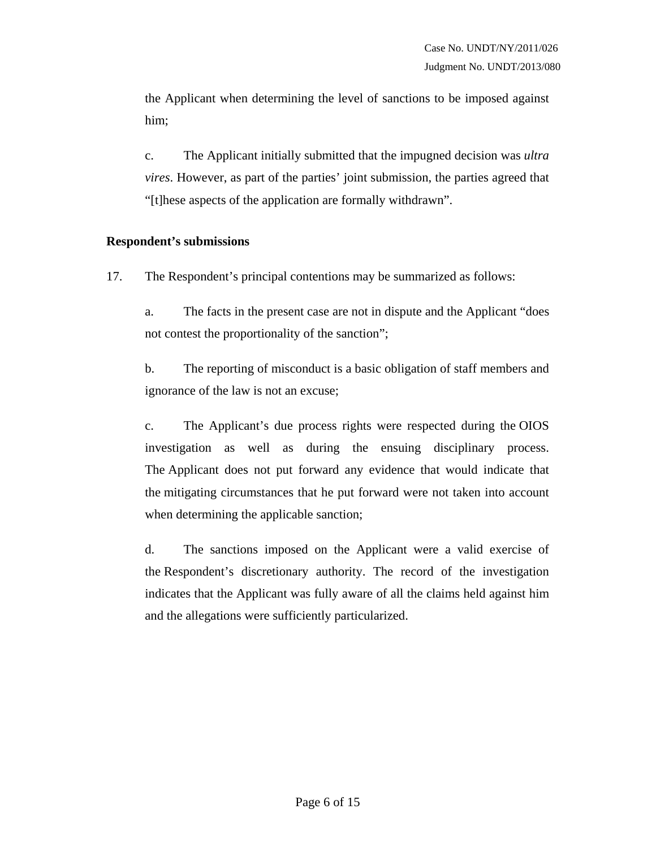the Applicant when determining the level of sanctions to be imposed against him;

c. The Applicant initially submitted that the impugned decision was *ultra vires*. However, as part of the parties' joint submission, the parties agreed that "[t]hese aspects of the application are formally withdrawn".

#### **Respondent's submissions**

17. The Respondent's principal contentions may be summarized as follows:

a. The facts in the present case are not in dispute and the Applicant "does not contest the proportionality of the sanction";

b. The reporting of misconduct is a basic obligation of staff members and ignorance of the law is not an excuse;

c. The Applicant's due process rights were respected during the OIOS investigation as well as during the ensuing disciplinary process. The Applicant does not put forward any evidence that would indicate that the mitigating circumstances that he put forward were not taken into account when determining the applicable sanction;

d. The sanctions imposed on the Applicant were a valid exercise of the Respondent's discretionary authority. The record of the investigation indicates that the Applicant was fully aware of all the claims held against him and the allegations were sufficiently particularized.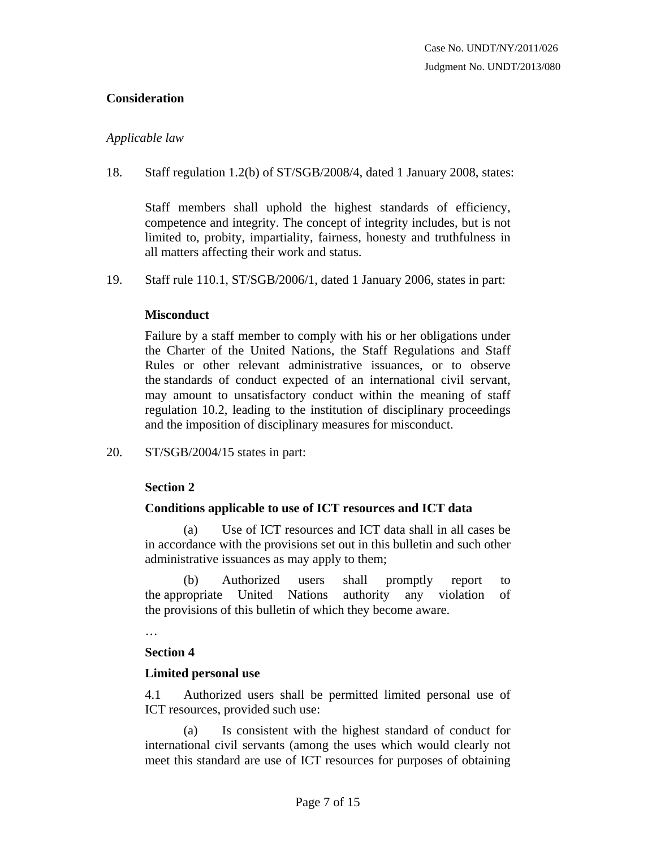## **Consideration**

#### *Applicable law*

18. Staff regulation 1.2(b) of ST/SGB/2008/4, dated 1 January 2008, states:

Staff members shall uphold the highest standards of efficiency, competence and integrity. The concept of integrity includes, but is not limited to, probity, impartiality, fairness, honesty and truthfulness in all matters affecting their work and status.

19. Staff rule 110.1, ST/SGB/2006/1, dated 1 January 2006, states in part:

## **Misconduct**

Failure by a staff member to comply with his or her obligations under the Charter of the United Nations, the Staff Regulations and Staff Rules or other relevant administrative issuances, or to observe the standards of conduct expected of an international civil servant, may amount to unsatisfactory conduct within the meaning of staff regulation 10.2, leading to the institution of disciplinary proceedings and the imposition of disciplinary measures for misconduct.

20. ST/SGB/2004/15 states in part:

## **Section 2**

## **Conditions applicable to use of ICT resources and ICT data**

 (a) Use of ICT resources and ICT data shall in all cases be in accordance with the provisions set out in this bulletin and such other administrative issuances as may apply to them;

 (b) Authorized users shall promptly report to the appropriate United Nations authority any violation of the provisions of this bulletin of which they become aware.

…

#### **Section 4**

#### **Limited personal use**

4.1 Authorized users shall be permitted limited personal use of ICT resources, provided such use:

 (a) Is consistent with the highest standard of conduct for international civil servants (among the uses which would clearly not meet this standard are use of ICT resources for purposes of obtaining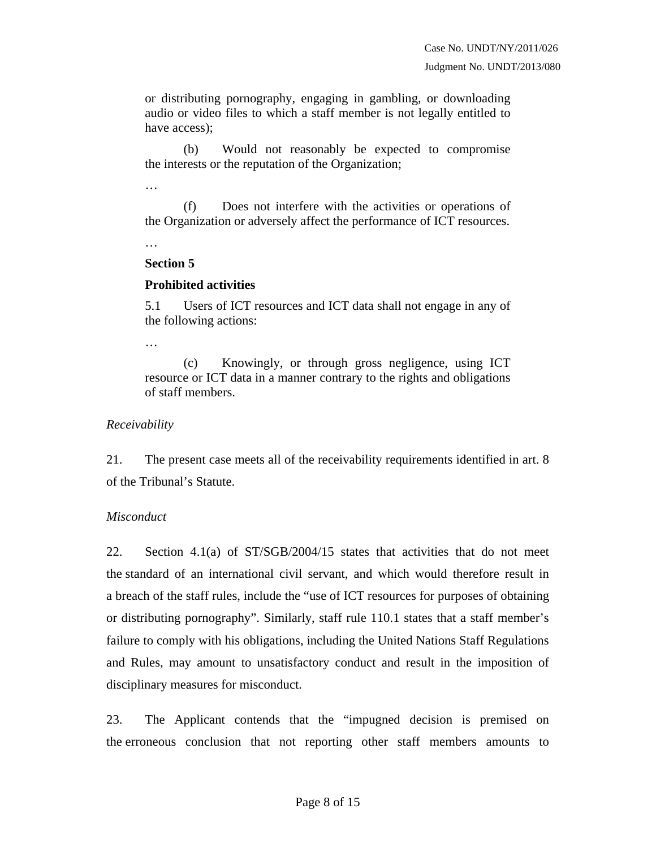or distributing pornography, engaging in gambling, or downloading audio or video files to which a staff member is not legally entitled to have access);

 (b) Would not reasonably be expected to compromise the interests or the reputation of the Organization;

…

 (f) Does not interfere with the activities or operations of the Organization or adversely affect the performance of ICT resources.

…

#### **Section 5**

#### **Prohibited activities**

5.1 Users of ICT resources and ICT data shall not engage in any of the following actions:

…

 (c) Knowingly, or through gross negligence, using ICT resource or ICT data in a manner contrary to the rights and obligations of staff members.

*Receivability* 

21. The present case meets all of the receivability requirements identified in art. 8 of the Tribunal's Statute.

## *Misconduct*

22. Section 4.1(a) of ST/SGB/2004/15 states that activities that do not meet the standard of an international civil servant, and which would therefore result in a breach of the staff rules, include the "use of ICT resources for purposes of obtaining or distributing pornography". Similarly, staff rule 110.1 states that a staff member's failure to comply with his obligations, including the United Nations Staff Regulations and Rules, may amount to unsatisfactory conduct and result in the imposition of disciplinary measures for misconduct.

23. The Applicant contends that the "impugned decision is premised on the erroneous conclusion that not reporting other staff members amounts to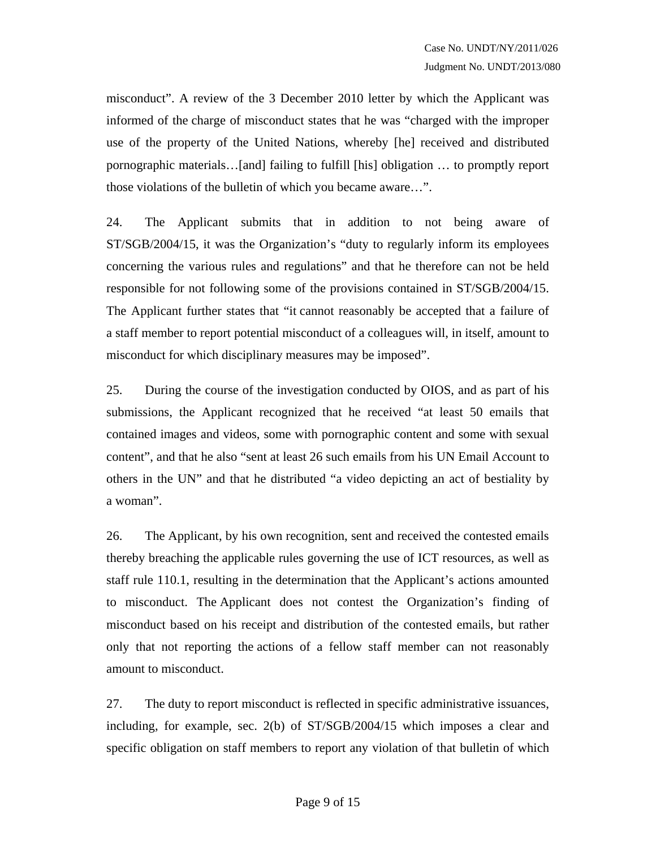misconduct". A review of the 3 December 2010 letter by which the Applicant was informed of the charge of misconduct states that he was "charged with the improper use of the property of the United Nations, whereby [he] received and distributed pornographic materials…[and] failing to fulfill [his] obligation … to promptly report those violations of the bulletin of which you became aware…".

24. The Applicant submits that in addition to not being aware of ST/SGB/2004/15, it was the Organization's "duty to regularly inform its employees concerning the various rules and regulations" and that he therefore can not be held responsible for not following some of the provisions contained in ST/SGB/2004/15. The Applicant further states that "it cannot reasonably be accepted that a failure of a staff member to report potential misconduct of a colleagues will, in itself, amount to misconduct for which disciplinary measures may be imposed".

25. During the course of the investigation conducted by OIOS, and as part of his submissions, the Applicant recognized that he received "at least 50 emails that contained images and videos, some with pornographic content and some with sexual content", and that he also "sent at least 26 such emails from his UN Email Account to others in the UN" and that he distributed "a video depicting an act of bestiality by a woman".

26. The Applicant, by his own recognition, sent and received the contested emails thereby breaching the applicable rules governing the use of ICT resources, as well as staff rule 110.1, resulting in the determination that the Applicant's actions amounted to misconduct. The Applicant does not contest the Organization's finding of misconduct based on his receipt and distribution of the contested emails, but rather only that not reporting the actions of a fellow staff member can not reasonably amount to misconduct.

27. The duty to report misconduct is reflected in specific administrative issuances, including, for example, sec. 2(b) of ST/SGB/2004/15 which imposes a clear and specific obligation on staff members to report any violation of that bulletin of which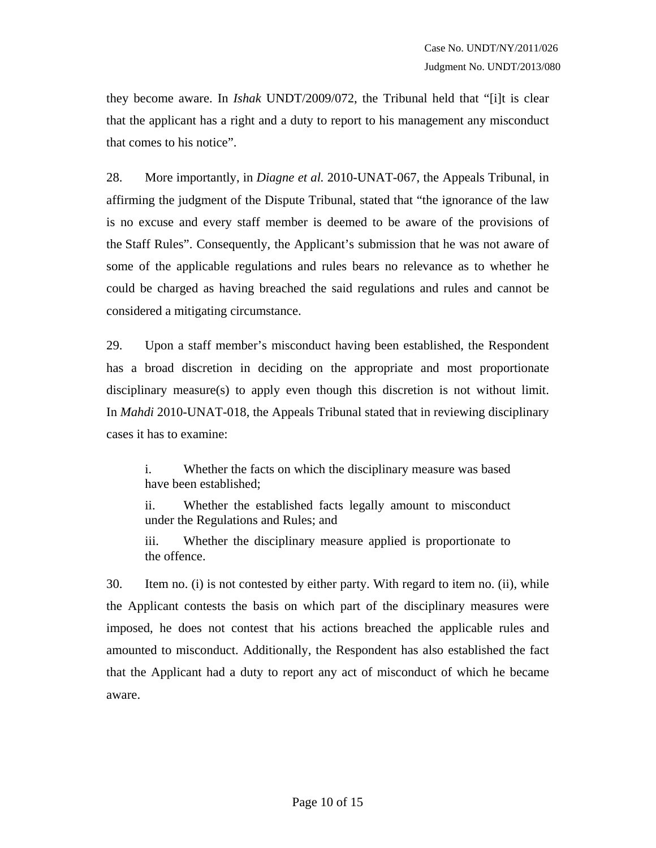they become aware. In *Ishak* UNDT/2009/072, the Tribunal held that "[i]t is clear that the applicant has a right and a duty to report to his management any misconduct that comes to his notice".

28. More importantly, in *Diagne et al.* 2010-UNAT-067, the Appeals Tribunal, in affirming the judgment of the Dispute Tribunal, stated that "the ignorance of the law is no excuse and every staff member is deemed to be aware of the provisions of the Staff Rules". Consequently, the Applicant's submission that he was not aware of some of the applicable regulations and rules bears no relevance as to whether he could be charged as having breached the said regulations and rules and cannot be considered a mitigating circumstance.

29. Upon a staff member's misconduct having been established, the Respondent has a broad discretion in deciding on the appropriate and most proportionate disciplinary measure(s) to apply even though this discretion is not without limit. In *Mahdi* 2010-UNAT-018, the Appeals Tribunal stated that in reviewing disciplinary cases it has to examine:

i. Whether the facts on which the disciplinary measure was based have been established;

ii. Whether the established facts legally amount to misconduct under the Regulations and Rules; and

iii. Whether the disciplinary measure applied is proportionate to the offence.

30. Item no. (i) is not contested by either party. With regard to item no. (ii), while the Applicant contests the basis on which part of the disciplinary measures were imposed, he does not contest that his actions breached the applicable rules and amounted to misconduct. Additionally, the Respondent has also established the fact that the Applicant had a duty to report any act of misconduct of which he became aware.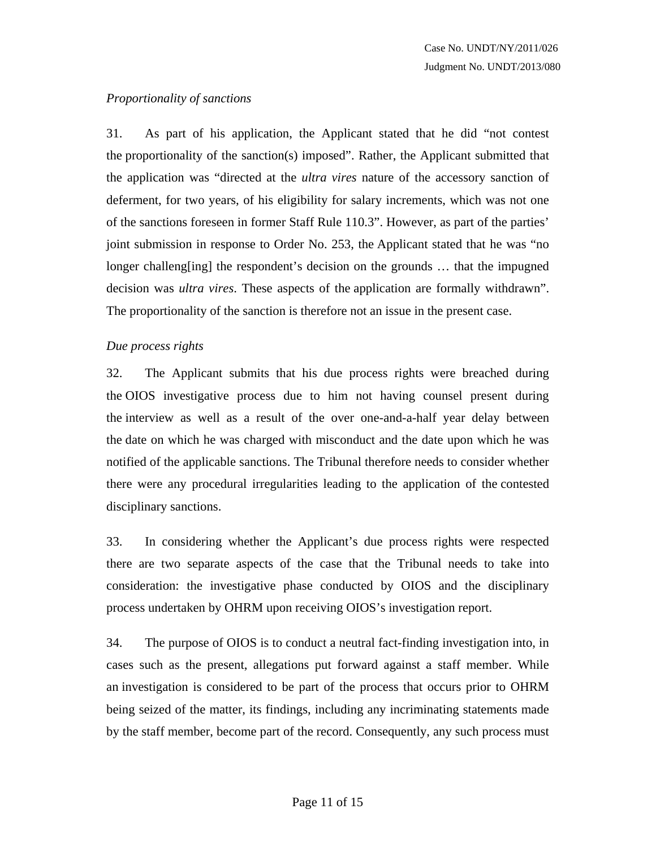## *Proportionality of sanctions*

31. As part of his application, the Applicant stated that he did "not contest the proportionality of the sanction(s) imposed". Rather, the Applicant submitted that the application was "directed at the *ultra vires* nature of the accessory sanction of deferment, for two years, of his eligibility for salary increments, which was not one of the sanctions foreseen in former Staff Rule 110.3". However, as part of the parties' joint submission in response to Order No. 253, the Applicant stated that he was "no longer challeng[ing] the respondent's decision on the grounds ... that the impugned decision was *ultra vires*. These aspects of the application are formally withdrawn". The proportionality of the sanction is therefore not an issue in the present case.

## *Due process rights*

32. The Applicant submits that his due process rights were breached during the OIOS investigative process due to him not having counsel present during the interview as well as a result of the over one-and-a-half year delay between the date on which he was charged with misconduct and the date upon which he was notified of the applicable sanctions. The Tribunal therefore needs to consider whether there were any procedural irregularities leading to the application of the contested disciplinary sanctions.

33. In considering whether the Applicant's due process rights were respected there are two separate aspects of the case that the Tribunal needs to take into consideration: the investigative phase conducted by OIOS and the disciplinary process undertaken by OHRM upon receiving OIOS's investigation report.

34. The purpose of OIOS is to conduct a neutral fact-finding investigation into, in cases such as the present, allegations put forward against a staff member. While an investigation is considered to be part of the process that occurs prior to OHRM being seized of the matter, its findings, including any incriminating statements made by the staff member, become part of the record. Consequently, any such process must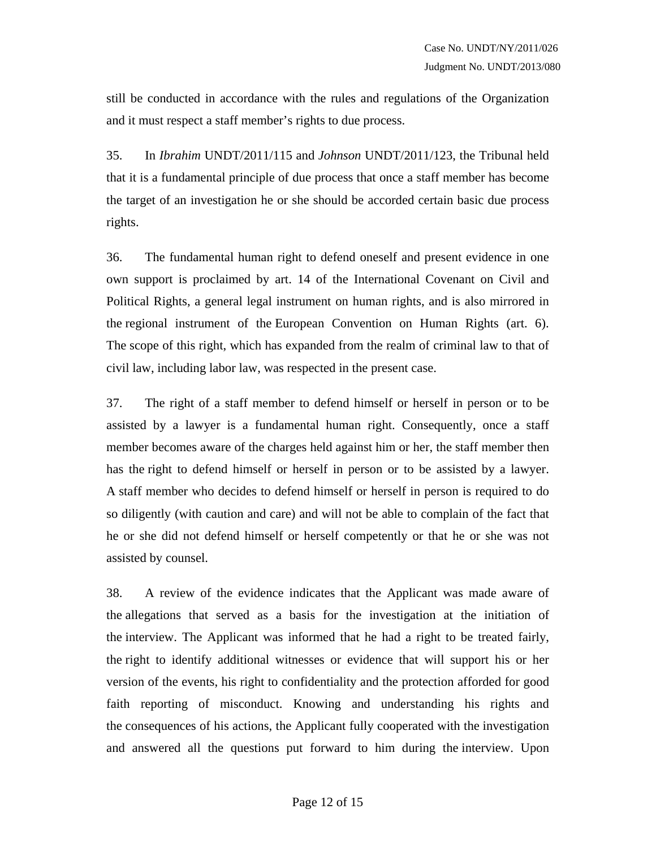still be conducted in accordance with the rules and regulations of the Organization and it must respect a staff member's rights to due process.

35. In *Ibrahim* UNDT/2011/115 and *Johnson* UNDT/2011/123, the Tribunal held that it is a fundamental principle of due process that once a staff member has become the target of an investigation he or she should be accorded certain basic due process rights.

36. The fundamental human right to defend oneself and present evidence in one own support is proclaimed by art. 14 of the International Covenant on Civil and Political Rights, a general legal instrument on human rights, and is also mirrored in the regional instrument of the European Convention on Human Rights (art. 6). The scope of this right, which has expanded from the realm of criminal law to that of civil law, including labor law, was respected in the present case.

37. The right of a staff member to defend himself or herself in person or to be assisted by a lawyer is a fundamental human right. Consequently, once a staff member becomes aware of the charges held against him or her, the staff member then has the right to defend himself or herself in person or to be assisted by a lawyer. A staff member who decides to defend himself or herself in person is required to do so diligently (with caution and care) and will not be able to complain of the fact that he or she did not defend himself or herself competently or that he or she was not assisted by counsel.

38. A review of the evidence indicates that the Applicant was made aware of the allegations that served as a basis for the investigation at the initiation of the interview. The Applicant was informed that he had a right to be treated fairly, the right to identify additional witnesses or evidence that will support his or her version of the events, his right to confidentiality and the protection afforded for good faith reporting of misconduct. Knowing and understanding his rights and the consequences of his actions, the Applicant fully cooperated with the investigation and answered all the questions put forward to him during the interview. Upon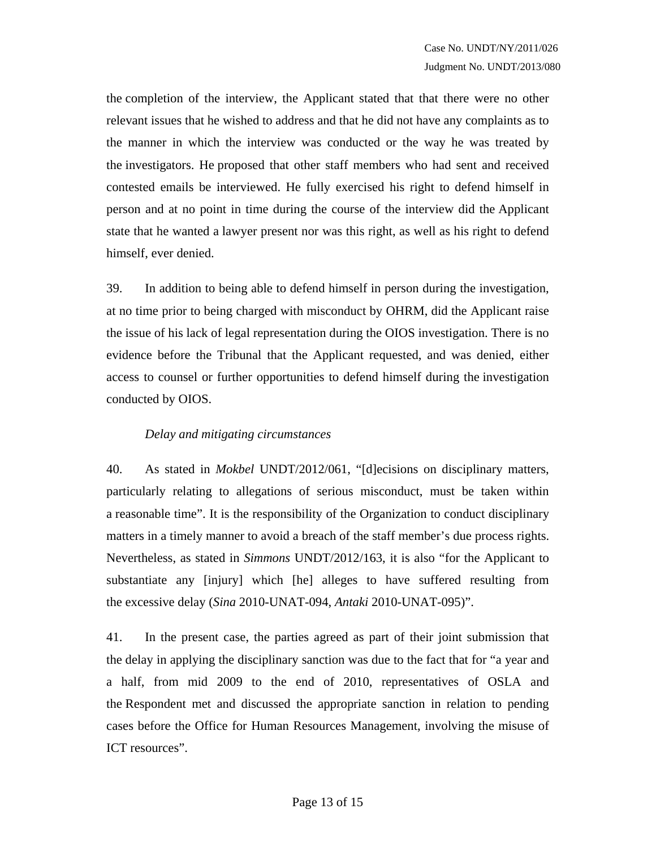the completion of the interview, the Applicant stated that that there were no other relevant issues that he wished to address and that he did not have any complaints as to the manner in which the interview was conducted or the way he was treated by the investigators. He proposed that other staff members who had sent and received contested emails be interviewed. He fully exercised his right to defend himself in person and at no point in time during the course of the interview did the Applicant state that he wanted a lawyer present nor was this right, as well as his right to defend himself, ever denied.

39. In addition to being able to defend himself in person during the investigation, at no time prior to being charged with misconduct by OHRM, did the Applicant raise the issue of his lack of legal representation during the OIOS investigation. There is no evidence before the Tribunal that the Applicant requested, and was denied, either access to counsel or further opportunities to defend himself during the investigation conducted by OIOS.

## *Delay and mitigating circumstances*

40. As stated in *Mokbel* UNDT/2012/061, "[d]ecisions on disciplinary matters, particularly relating to allegations of serious misconduct, must be taken within a reasonable time". It is the responsibility of the Organization to conduct disciplinary matters in a timely manner to avoid a breach of the staff member's due process rights. Nevertheless, as stated in *Simmons* UNDT/2012/163, it is also "for the Applicant to substantiate any [injury] which [he] alleges to have suffered resulting from the excessive delay (*Sina* 2010-UNAT-094, *Antaki* 2010-UNAT-095)".

41. In the present case, the parties agreed as part of their joint submission that the delay in applying the disciplinary sanction was due to the fact that for "a year and a half, from mid 2009 to the end of 2010, representatives of OSLA and the Respondent met and discussed the appropriate sanction in relation to pending cases before the Office for Human Resources Management, involving the misuse of ICT resources".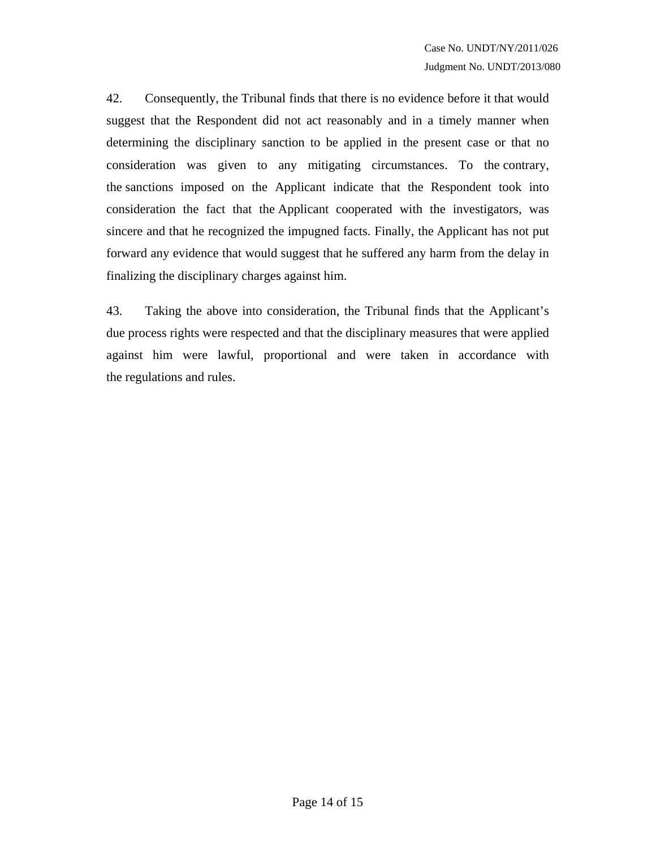42. Consequently, the Tribunal finds that there is no evidence before it that would suggest that the Respondent did not act reasonably and in a timely manner when determining the disciplinary sanction to be applied in the present case or that no consideration was given to any mitigating circumstances. To the contrary, the sanctions imposed on the Applicant indicate that the Respondent took into consideration the fact that the Applicant cooperated with the investigators, was sincere and that he recognized the impugned facts. Finally, the Applicant has not put forward any evidence that would suggest that he suffered any harm from the delay in finalizing the disciplinary charges against him.

43. Taking the above into consideration, the Tribunal finds that the Applicant's due process rights were respected and that the disciplinary measures that were applied against him were lawful, proportional and were taken in accordance with the regulations and rules.